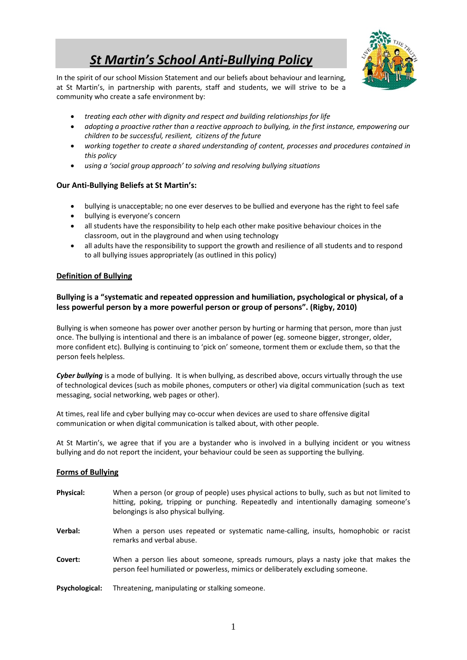# *St Martin's School Anti‐Bullying Policy*



In the spirit of our school Mission Statement and our beliefs about behaviour and learning, at St Martin's, in partnership with parents, staff and students, we will strive to be a community who create a safe environment by:

- *treating each other with dignity and respect and building relationships for life*
- *adopting a proactive rather than a reactive approach to bullying, in the first instance, empowering our children to be successful, resilient, citizens of the future*
- *working together to create a shared understanding of content, processes and procedures contained in this policy*
- *using a 'social group approach' to solving and resolving bullying situations*

#### **Our Anti‐Bullying Beliefs at St Martin's:**

- bullying is unacceptable; no one ever deserves to be bullied and everyone has the right to feel safe
- bullying is everyone's concern
- all students have the responsibility to help each other make positive behaviour choices in the classroom, out in the playground and when using technology
- all adults have the responsibility to support the growth and resilience of all students and to respond to all bullying issues appropriately (as outlined in this policy)

#### **Definition of Bullying**

#### **Bullying is a "systematic and repeated oppression and humiliation, psychological or physical, of a less powerful person by a more powerful person or group of persons". (Rigby, 2010)**

Bullying is when someone has power over another person by hurting or harming that person, more than just once. The bullying is intentional and there is an imbalance of power (eg. someone bigger, stronger, older, more confident etc). Bullying is continuing to 'pick on' someone, torment them or exclude them, so that the person feels helpless.

*Cyber bullying* is a mode of bullying. It is when bullying, as described above, occurs virtually through the use of technological devices (such as mobile phones, computers or other) via digital communication (such as text messaging, social networking, web pages or other).

At times, real life and cyber bullying may co-occur when devices are used to share offensive digital communication or when digital communication is talked about, with other people.

At St Martin's, we agree that if you are a bystander who is involved in a bullying incident or you witness bullying and do not report the incident, your behaviour could be seen as supporting the bullying.

#### **Forms of Bullying**

**Physical:** When a person (or group of people) uses physical actions to bully, such as but not limited to hitting, poking, tripping or punching. Repeatedly and intentionally damaging someone's belongings is also physical bullying. **Verbal:** When a person uses repeated or systematic name-calling, insults, homophobic or racist remarks and verbal abuse. **Covert:** When a person lies about someone, spreads rumours, plays a nasty joke that makes the person feel humiliated or powerless, mimics or deliberately excluding someone.

**Psychological:** Threatening, manipulating or stalking someone.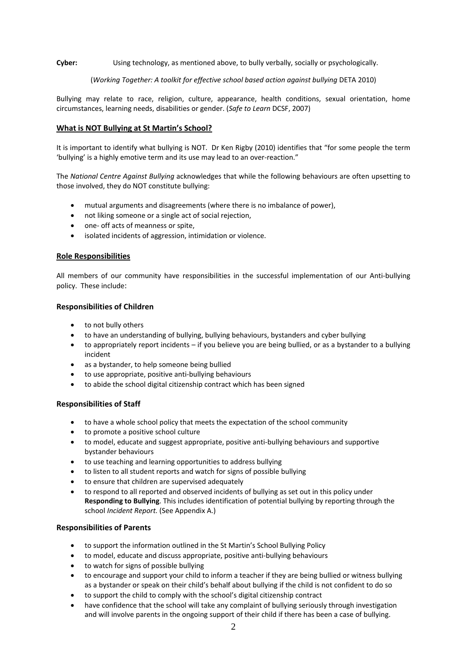**Cyber:** Using technology, as mentioned above, to bully verbally, socially or psychologically.

#### (*Working Together: A toolkit for effective school based action against bullying* DETA 2010)

Bullying may relate to race, religion, culture, appearance, health conditions, sexual orientation, home circumstances, learning needs, disabilities or gender. (*Safe to Learn* DCSF, 2007)

#### **What is NOT Bullying at St Martin's School?**

It is important to identify what bullying is NOT. Dr Ken Rigby (2010) identifies that "for some people the term 'bullying' is a highly emotive term and its use may lead to an over‐reaction."

The *National Centre Against Bullying* acknowledges that while the following behaviours are often upsetting to those involved, they do NOT constitute bullying:

- mutual arguments and disagreements (where there is no imbalance of power),
- not liking someone or a single act of social rejection,
- one- off acts of meanness or spite,
- isolated incidents of aggression, intimidation or violence.

#### **Role Responsibilities**

All members of our community have responsibilities in the successful implementation of our Anti‐bullying policy. These include:

#### **Responsibilities of Children**

- to not bully others
- to have an understanding of bullying, bullying behaviours, bystanders and cyber bullying
- to appropriately report incidents if you believe you are being bullied, or as a bystander to a bullying incident
- as a bystander, to help someone being bullied
- to use appropriate, positive anti‐bullying behaviours
- to abide the school digital citizenship contract which has been signed

#### **Responsibilities of Staff**

- to have a whole school policy that meets the expectation of the school community
- to promote a positive school culture
- to model, educate and suggest appropriate, positive anti-bullying behaviours and supportive bystander behaviours
- to use teaching and learning opportunities to address bullying
- to listen to all student reports and watch for signs of possible bullying
- to ensure that children are supervised adequately
- to respond to all reported and observed incidents of bullying as set out in this policy under **Responding to Bullying**. This includes identification of potential bullying by reporting through the school *Incident Report.* (See Appendix A.)

#### **Responsibilities of Parents**

- to support the information outlined in the St Martin's School Bullying Policy
- to model, educate and discuss appropriate, positive anti‐bullying behaviours
- to watch for signs of possible bullying
- to encourage and support your child to inform a teacher if they are being bullied or witness bullying as a bystander or speak on their child's behalf about bullying if the child is not confident to do so
- to support the child to comply with the school's digital citizenship contract
- have confidence that the school will take any complaint of bullying seriously through investigation and will involve parents in the ongoing support of their child if there has been a case of bullying.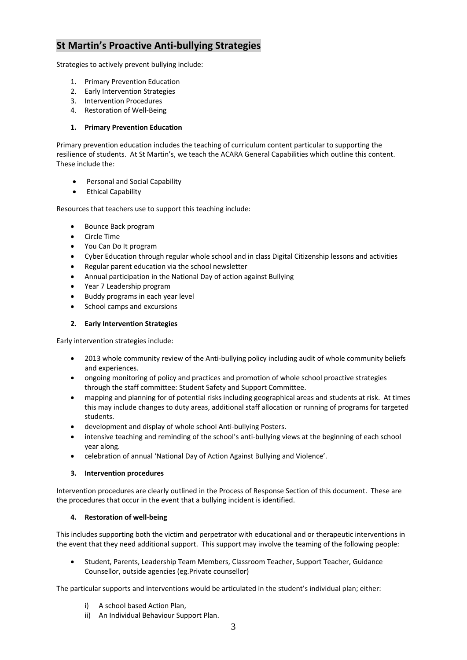### **St Martin's Proactive Anti‐bullying Strategies**

Strategies to actively prevent bullying include:

- 1. Primary Prevention Education
- 2. Early Intervention Strategies
- 3. Intervention Procedures
- 4. Restoration of Well‐Being

#### **1. Primary Prevention Education**

Primary prevention education includes the teaching of curriculum content particular to supporting the resilience of students. At St Martin's, we teach the ACARA General Capabilities which outline this content. These include the:

- Personal and Social Capability
- Ethical Capability

Resources that teachers use to support this teaching include:

- Bounce Back program
- Circle Time
- You Can Do It program
- Cyber Education through regular whole school and in class Digital Citizenship lessons and activities
- Regular parent education via the school newsletter
- Annual participation in the National Day of action against Bullying
- Year 7 Leadership program
- Buddy programs in each year level
- School camps and excursions

### **2. Early Intervention Strategies**

Early intervention strategies include:

- 2013 whole community review of the Anti-bullying policy including audit of whole community beliefs and experiences.
- ongoing monitoring of policy and practices and promotion of whole school proactive strategies through the staff committee: Student Safety and Support Committee.
- mapping and planning for of potential risks including geographical areas and students at risk. At times this may include changes to duty areas, additional staff allocation or running of programs for targeted students.
- development and display of whole school Anti‐bullying Posters.
- intensive teaching and reminding of the school's anti-bullying views at the beginning of each school year along.
- celebration of annual 'National Day of Action Against Bullying and Violence'.

#### **3. Intervention procedures**

Intervention procedures are clearly outlined in the Process of Response Section of this document. These are the procedures that occur in the event that a bullying incident is identified.

#### **4. Restoration of well‐being**

This includes supporting both the victim and perpetrator with educational and or therapeutic interventions in the event that they need additional support. This support may involve the teaming of the following people:

 Student, Parents, Leadership Team Members, Classroom Teacher, Support Teacher, Guidance Counsellor, outside agencies (eg.Private counsellor)

The particular supports and interventions would be articulated in the student's individual plan; either:

- i) A school based Action Plan,
- ii) An Individual Behaviour Support Plan.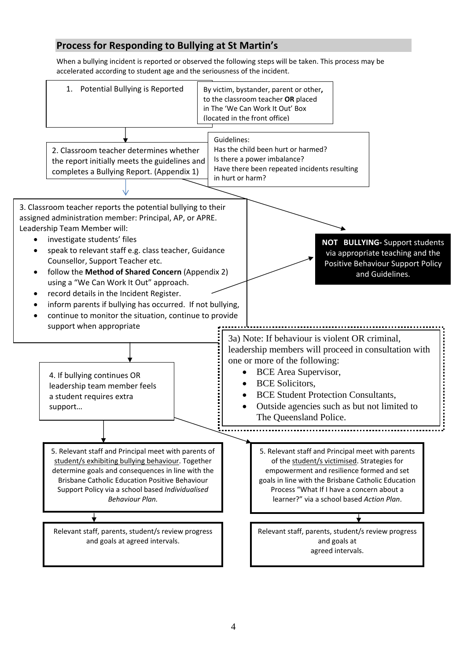## **Process for Responding to Bullying at St Martin's**

When a bullying incident is reported or observed the following steps will be taken. This process may be accelerated according to student age and the seriousness of the incident.

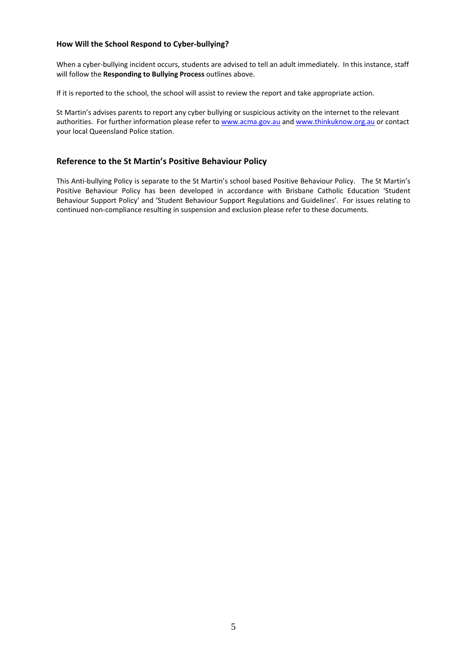#### **How Will the School Respond to Cyber‐bullying?**

When a cyber-bullying incident occurs, students are advised to tell an adult immediately. In this instance, staff will follow the **Responding to Bullying Process** outlines above.

If it is reported to the school, the school will assist to review the report and take appropriate action.

St Martin's advises parents to report any cyber bullying or suspicious activity on the internet to the relevant authorities. For further information please refer to www.acma.gov.au and www.thinkuknow.org.au or contact your local Queensland Police station.

#### **Reference to the St Martin's Positive Behaviour Policy**

This Anti-bullying Policy is separate to the St Martin's school based Positive Behaviour Policy. The St Martin's Positive Behaviour Policy has been developed in accordance with Brisbane Catholic Education 'Student Behaviour Support Policy' and 'Student Behaviour Support Regulations and Guidelines'. For issues relating to continued non‐compliance resulting in suspension and exclusion please refer to these documents.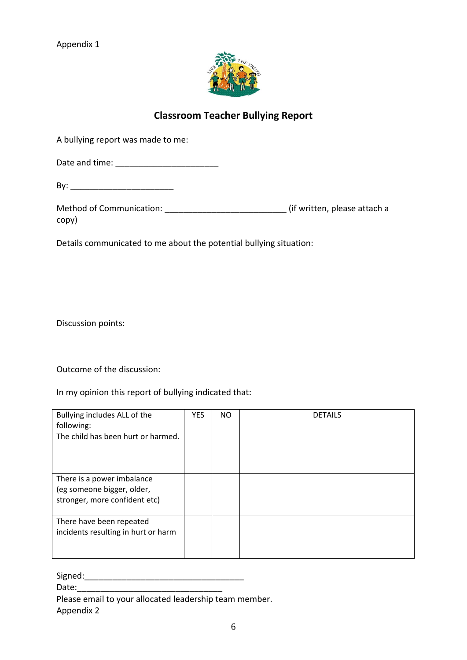Appendix 1



## **Classroom Teacher Bullying Report**

A bullying report was made to me:

Date and time: \_\_\_\_\_\_\_\_\_\_\_\_\_\_\_\_\_\_\_\_\_\_

By: \_\_\_\_\_\_\_\_\_\_\_\_\_\_\_\_\_\_\_\_\_\_

| <b>Method of Communication:</b> | (if written, please attach a |
|---------------------------------|------------------------------|
| copy)                           |                              |

Details communicated to me about the potential bullying situation:

Discussion points:

Outcome of the discussion:

In my opinion this report of bullying indicated that:

| Bullying includes ALL of the<br>following:                                                | <b>YES</b> | <b>NO</b> | <b>DETAILS</b> |
|-------------------------------------------------------------------------------------------|------------|-----------|----------------|
| The child has been hurt or harmed.                                                        |            |           |                |
| There is a power imbalance<br>(eg someone bigger, older,<br>stronger, more confident etc) |            |           |                |
| There have been repeated<br>incidents resulting in hurt or harm                           |            |           |                |

Signed:\_\_\_\_\_\_\_\_\_\_\_\_\_\_\_\_\_\_\_\_\_\_\_\_\_\_\_\_\_\_\_\_\_\_

Date:

Please email to your allocated leadership team member.

Appendix 2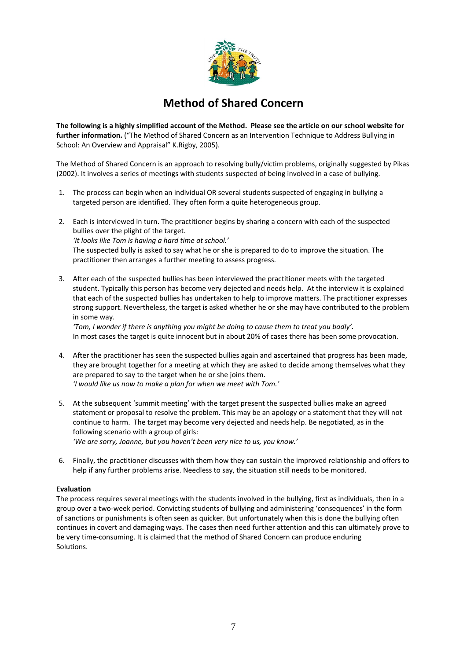

## **Method of Shared Concern**

The following is a highly simplified account of the Method. Please see the article on our school website for **further information.** ("The Method of Shared Concern as an Intervention Technique to Address Bullying in School: An Overview and Appraisal" K.Rigby, 2005).

The Method of Shared Concern is an approach to resolving bully/victim problems, originally suggested by Pikas (2002). It involves a series of meetings with students suspected of being involved in a case of bullying.

- 1. The process can begin when an individual OR several students suspected of engaging in bullying a targeted person are identified. They often form a quite heterogeneous group.
- 2. Each is interviewed in turn. The practitioner begins by sharing a concern with each of the suspected bullies over the plight of the target. *'It looks like Tom is having a hard time at school.'* The suspected bully is asked to say what he or she is prepared to do to improve the situation. The practitioner then arranges a further meeting to assess progress.
- 3. After each of the suspected bullies has been interviewed the practitioner meets with the targeted student. Typically this person has become very dejected and needs help. At the interview it is explained that each of the suspected bullies has undertaken to help to improve matters. The practitioner expresses strong support. Nevertheless, the target is asked whether he or she may have contributed to the problem in some way.

*'Tom, I wonder if there is anything you might be doing to cause them to treat you badly'.* In most cases the target is quite innocent but in about 20% of cases there has been some provocation.

- 4. After the practitioner has seen the suspected bullies again and ascertained that progress has been made, they are brought together for a meeting at which they are asked to decide among themselves what they are prepared to say to the target when he or she joins them. *'I would like us now to make a plan for when we meet with Tom.'*
- 5. At the subsequent 'summit meeting' with the target present the suspected bullies make an agreed statement or proposal to resolve the problem. This may be an apology or a statement that they will not continue to harm. The target may become very dejected and needs help. Be negotiated, as in the following scenario with a group of girls:

*'We are sorry, Joanne, but you haven't been very nice to us, you know.'*

6. Finally, the practitioner discusses with them how they can sustain the improved relationship and offers to help if any further problems arise. Needless to say, the situation still needs to be monitored.

#### E**valuation**

The process requires several meetings with the students involved in the bullying, first as individuals, then in a group over a two‐week period. Convicting students of bullying and administering 'consequences' in the form of sanctions or punishments is often seen as quicker. But unfortunately when this is done the bullying often continues in covert and damaging ways. The cases then need further attention and this can ultimately prove to be very time‐consuming. It is claimed that the method of Shared Concern can produce enduring Solutions.